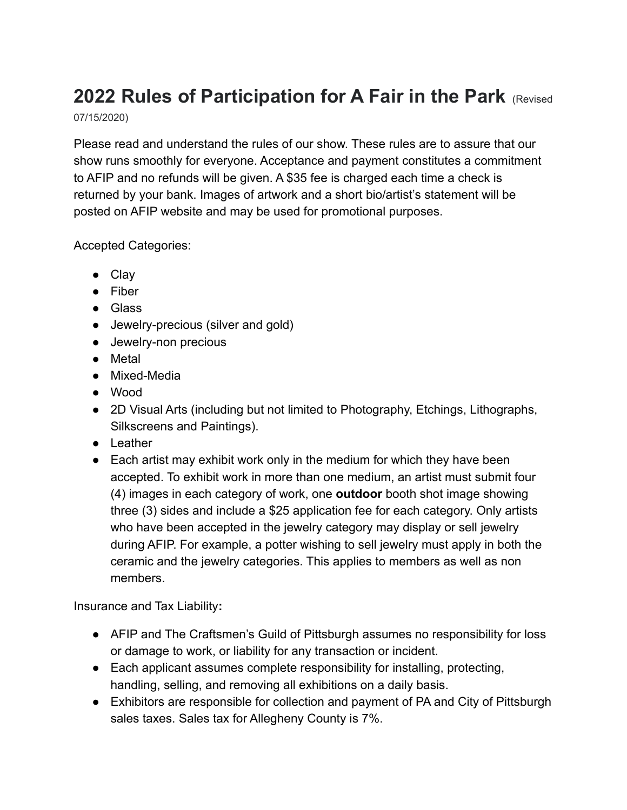## **2022 Rules of Participation for A Fair in the Park** (Revised

## 07/15/2020)

Please read and understand the rules of our show. These rules are to assure that our show runs smoothly for everyone. Acceptance and payment constitutes a commitment to AFIP and no refunds will be given. A \$35 fee is charged each time a check is returned by your bank. Images of artwork and a short bio/artist's statement will be posted on AFIP website and may be used for promotional purposes.

## Accepted Categories:

- Clay
- Fiber
- Glass
- Jewelry-precious (silver and gold)
- Jewelry-non precious
- Metal
- Mixed-Media
- Wood
- 2D Visual Arts (including but not limited to Photography, Etchings, Lithographs, Silkscreens and Paintings).
- Leather
- Each artist may exhibit work only in the medium for which they have been accepted. To exhibit work in more than one medium, an artist must submit four (4) images in each category of work, one **outdoor** booth shot image showing three (3) sides and include a \$25 application fee for each category. Only artists who have been accepted in the jewelry category may display or sell jewelry during AFIP. For example, a potter wishing to sell jewelry must apply in both the ceramic and the jewelry categories. This applies to members as well as non members.

Insurance and Tax Liability**:**

- AFIP and The Craftsmen's Guild of Pittsburgh assumes no responsibility for loss or damage to work, or liability for any transaction or incident.
- Each applicant assumes complete responsibility for installing, protecting, handling, selling, and removing all exhibitions on a daily basis.
- Exhibitors are responsible for collection and payment of PA and City of Pittsburgh sales taxes. Sales tax for Allegheny County is 7%.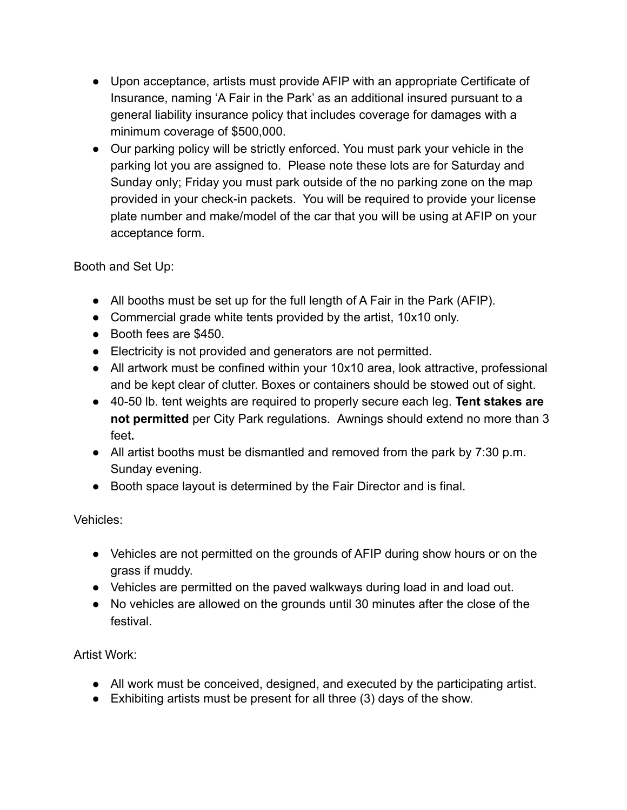- Upon acceptance, artists must provide AFIP with an appropriate Certificate of Insurance, naming 'A Fair in the Park' as an additional insured pursuant to a general liability insurance policy that includes coverage for damages with a minimum coverage of \$500,000.
- Our parking policy will be strictly enforced. You must park your vehicle in the parking lot you are assigned to. Please note these lots are for Saturday and Sunday only; Friday you must park outside of the no parking zone on the map provided in your check-in packets. You will be required to provide your license plate number and make/model of the car that you will be using at AFIP on your acceptance form.

Booth and Set Up:

- All booths must be set up for the full length of A Fair in the Park (AFIP).
- Commercial grade white tents provided by the artist, 10x10 only.
- Booth fees are \$450.
- Electricity is not provided and generators are not permitted.
- All artwork must be confined within your 10x10 area, look attractive, professional and be kept clear of clutter. Boxes or containers should be stowed out of sight.
- 40-50 lb. tent weights are required to properly secure each leg. **Tent stakes are not permitted** per City Park regulations. Awnings should extend no more than 3 feet**.**
- All artist booths must be dismantled and removed from the park by 7:30 p.m. Sunday evening.
- Booth space layout is determined by the Fair Director and is final.

Vehicles:

- Vehicles are not permitted on the grounds of AFIP during show hours or on the grass if muddy.
- Vehicles are permitted on the paved walkways during load in and load out.
- No vehicles are allowed on the grounds until 30 minutes after the close of the festival.

Artist Work:

- All work must be conceived, designed, and executed by the participating artist.
- Exhibiting artists must be present for all three (3) days of the show.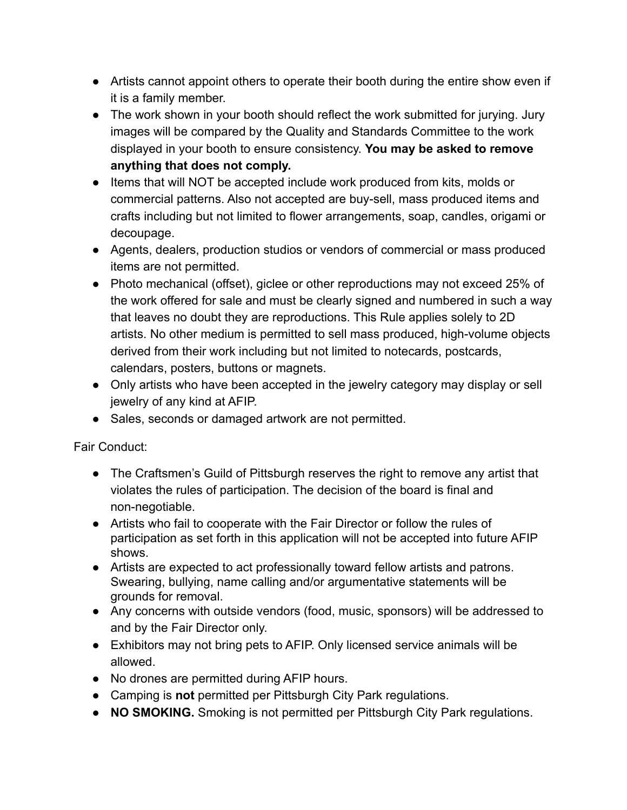- Artists cannot appoint others to operate their booth during the entire show even if it is a family member.
- The work shown in your booth should reflect the work submitted for jurying. Jury images will be compared by the Quality and Standards Committee to the work displayed in your booth to ensure consistency. **You may be asked to remove anything that does not comply.**
- Items that will NOT be accepted include work produced from kits, molds or commercial patterns. Also not accepted are buy-sell, mass produced items and crafts including but not limited to flower arrangements, soap, candles, origami or decoupage.
- Agents, dealers, production studios or vendors of commercial or mass produced items are not permitted.
- Photo mechanical (offset), giclee or other reproductions may not exceed 25% of the work offered for sale and must be clearly signed and numbered in such a way that leaves no doubt they are reproductions. This Rule applies solely to 2D artists. No other medium is permitted to sell mass produced, high-volume objects derived from their work including but not limited to notecards, postcards, calendars, posters, buttons or magnets.
- Only artists who have been accepted in the jewelry category may display or sell jewelry of any kind at AFIP.
- Sales, seconds or damaged artwork are not permitted.

Fair Conduct:

- The Craftsmen's Guild of Pittsburgh reserves the right to remove any artist that violates the rules of participation. The decision of the board is final and non-negotiable.
- Artists who fail to cooperate with the Fair Director or follow the rules of participation as set forth in this application will not be accepted into future AFIP shows.
- Artists are expected to act professionally toward fellow artists and patrons. Swearing, bullying, name calling and/or argumentative statements will be grounds for removal.
- Any concerns with outside vendors (food, music, sponsors) will be addressed to and by the Fair Director only.
- Exhibitors may not bring pets to AFIP. Only licensed service animals will be allowed.
- No drones are permitted during AFIP hours.
- Camping is **not** permitted per Pittsburgh City Park regulations.
- **NO SMOKING.** Smoking is not permitted per Pittsburgh City Park regulations.